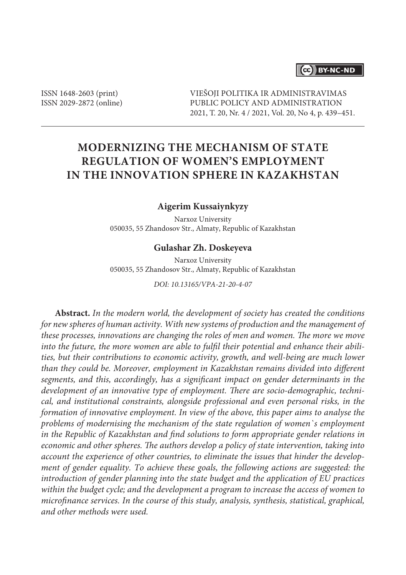# (cc) BY-NC-ND

ISSN 1648-2603 (print) ISSN 2029-2872 (online) VIEŠOJI POLITIKA IR ADMINISTRAVIMAS PUBLIC POLICY AND ADMINISTRATION 2021, T. 20, Nr. 4 / 2021, Vol. 20, No 4, p. 439–451.

# **Modernizing the Mechanism of State Regulation of Women's Employment in the Innovation Sphere in Kazakhstan**

## **Aigerim Kussaiynkyzy**

Narxoz University 050035, 55 Zhandosov Str., Almaty, Republic of Kazakhstan

#### **Gulashar Zh. Doskeyeva**

Narxoz University 050035, 55 Zhandosov Str., Almaty, Republic of Kazakhstan

*DOI: 10.13165/VPA-21-20-4-07*

**Abstract.** *In the modern world, the development of society has created the conditions for new spheres of human activity. With new systems of production and the management of these processes, innovations are changing the roles of men and women. The more we move into the future, the more women are able to fulfil their potential and enhance their abilities, but their contributions to economic activity, growth, and well-being are much lower than they could be. Moreover, employment in Kazakhstan remains divided into different segments, and this, accordingly, has a significant impact on gender determinants in the development of an innovative type of employment. There are socio-demographic, technical, and institutional constraints, alongside professional and even personal risks, in the formation of innovative employment. In view of the above, this paper aims to analyse the problems of modernising the mechanism of the state regulation of women`s employment in the Republic of Kazakhstan and find solutions to form appropriate gender relations in economic and other spheres. The authors develop a policy of state intervention, taking into account the experience of other countries, to eliminate the issues that hinder the development of gender equality. To achieve these goals, the following actions are suggested: the introduction of gender planning into the state budget and the application of EU practices within the budget cycle; and the development a program to increase the access of women to microfinance services. In the course of this study, analysis, synthesis, statistical, graphical, and other methods were used.*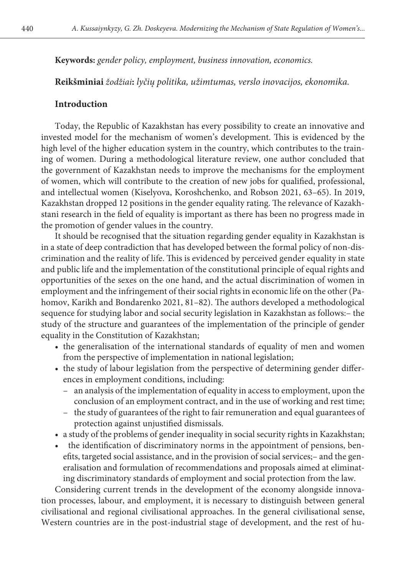**Keywords:** *gender policy, employment, business innovation, economics.*

**Reikšminiai** *žodžiai***:** *lyčių politika, užimtumas, verslo inovacijos, ekonomika.*

### **Introduction**

Today, the Republic of Kazakhstan has every possibility to create an innovative and invested model for the mechanism of women's development. This is evidenced by the high level of the higher education system in the country, which contributes to the training of women. During a methodological literature review, one author concluded that the government of Kazakhstan needs to improve the mechanisms for the employment of women, which will contribute to the creation of new jobs for qualified, professional, and intellectual women (Kiselyova, Koroshchenko, and Robson 2021, 63–65). In 2019, Kazakhstan dropped 12 positions in the gender equality rating. The relevance of Kazakhstani research in the field of equality is important as there has been no progress made in the promotion of gender values in the country.

It should be recognised that the situation regarding gender equality in Kazakhstan is in a state of deep contradiction that has developed between the formal policy of non-discrimination and the reality of life. This is evidenced by perceived gender equality in state and public life and the implementation of the constitutional principle of equal rights and opportunities of the sexes on the one hand, and the actual discrimination of women in employment and the infringement of their social rights in economic life on the other (Pahomov, Karikh and Bondarenko 2021, 81–82). The authors developed a methodological sequence for studying labor and social security legislation in Kazakhstan as follows:– the study of the structure and guarantees of the implementation of the principle of gender equality in the Constitution of Kazakhstan;

- the generalisation of the international standards of equality of men and women from the perspective of implementation in national legislation;
- the study of labour legislation from the perspective of determining gender differences in employment conditions, including:
	- an analysis of the implementation of equality in access to employment, upon the conclusion of an employment contract, and in the use of working and rest time;
	- the study of guarantees of the right to fair remuneration and equal guarantees of protection against unjustified dismissals.
- a study of the problems of gender inequality in social security rights in Kazakhstan;
- the identification of discriminatory norms in the appointment of pensions, benefits, targeted social assistance, and in the provision of social services;– and the generalisation and formulation of recommendations and proposals aimed at eliminating discriminatory standards of employment and social protection from the law.

Considering current trends in the development of the economy alongside innovation processes, labour, and employment, it is necessary to distinguish between general civilisational and regional civilisational approaches. In the general civilisational sense, Western countries are in the post-industrial stage of development, and the rest of hu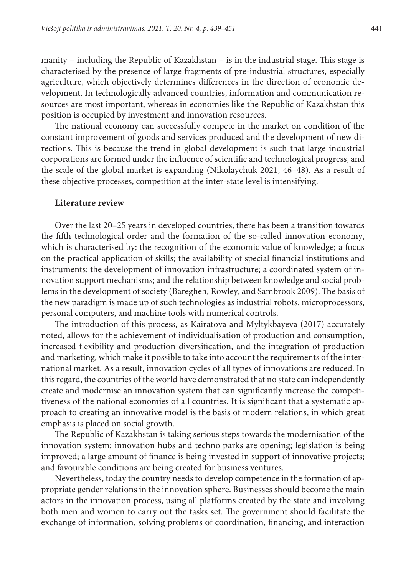manity – including the Republic of Kazakhstan – is in the industrial stage. This stage is characterised by the presence of large fragments of pre-industrial structures, especially agriculture, which objectively determines differences in the direction of economic development. In technologically advanced countries, information and communication resources are most important, whereas in economies like the Republic of Kazakhstan this position is occupied by investment and innovation resources.

The national economy can successfully compete in the market on condition of the constant improvement of goods and services produced and the development of new directions. This is because the trend in global development is such that large industrial corporations are formed under the influence of scientific and technological progress, and the scale of the global market is expanding (Nikolaychuk 2021, 46–48). As a result of these objective processes, competition at the inter-state level is intensifying.

#### **Literature review**

Over the last 20–25 years in developed countries, there has been a transition towards the fifth technological order and the formation of the so-called innovation economy, which is characterised by: the recognition of the economic value of knowledge; a focus on the practical application of skills; the availability of special financial institutions and instruments; the development of innovation infrastructure; a coordinated system of innovation support mechanisms; and the relationship between knowledge and social problems in the development of society (Baregheh, Rowley, and Sambrook 2009). The basis of the new paradigm is made up of such technologies as industrial robots, microprocessors, personal computers, and machine tools with numerical controls.

The introduction of this process, as Kairatova and Myltykbayeva (2017) accurately noted, allows for the achievement of individualisation of production and consumption, increased flexibility and production diversification, and the integration of production and marketing, which make it possible to take into account the requirements of the international market. As a result, innovation cycles of all types of innovations are reduced. In this regard, the countries of the world have demonstrated that no state can independently create and modernise an innovation system that can significantly increase the competitiveness of the national economies of all countries. It is significant that a systematic approach to creating an innovative model is the basis of modern relations, in which great emphasis is placed on social growth.

The Republic of Kazakhstan is taking serious steps towards the modernisation of the innovation system: innovation hubs and techno parks are opening; legislation is being improved; a large amount of finance is being invested in support of innovative projects; and favourable conditions are being created for business ventures.

Nevertheless, today the country needs to develop competence in the formation of appropriate gender relations in the innovation sphere. Businesses should become the main actors in the innovation process, using all platforms created by the state and involving both men and women to carry out the tasks set. The government should facilitate the exchange of information, solving problems of coordination, financing, and interaction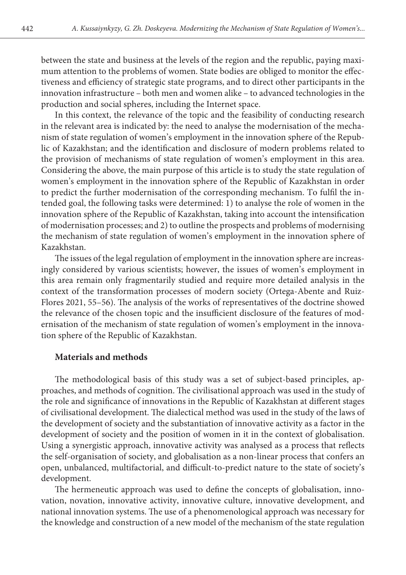between the state and business at the levels of the region and the republic, paying maximum attention to the problems of women. State bodies are obliged to monitor the effectiveness and efficiency of strategic state programs, and to direct other participants in the innovation infrastructure – both men and women alike – to advanced technologies in the production and social spheres, including the Internet space.

In this context, the relevance of the topic and the feasibility of conducting research in the relevant area is indicated by: the need to analyse the modernisation of the mechanism of state regulation of women's employment in the innovation sphere of the Republic of Kazakhstan; and the identification and disclosure of modern problems related to the provision of mechanisms of state regulation of women's employment in this area. Considering the above, the main purpose of this article is to study the state regulation of women's employment in the innovation sphere of the Republic of Kazakhstan in order to predict the further modernisation of the corresponding mechanism. To fulfil the intended goal, the following tasks were determined: 1) to analyse the role of women in the innovation sphere of the Republic of Kazakhstan, taking into account the intensification of modernisation processes; and 2) to outline the prospects and problems of modernising the mechanism of state regulation of women's employment in the innovation sphere of Kazakhstan.

The issues of the legal regulation of employment in the innovation sphere are increasingly considered by various scientists; however, the issues of women's employment in this area remain only fragmentarily studied and require more detailed analysis in the context of the transformation processes of modern society (Ortega-Abente and Ruiz-Flores 2021, 55–56). The analysis of the works of representatives of the doctrine showed the relevance of the chosen topic and the insufficient disclosure of the features of modernisation of the mechanism of state regulation of women's employment in the innovation sphere of the Republic of Kazakhstan.

## **Materials and methods**

The methodological basis of this study was a set of subject-based principles, approaches, and methods of cognition. The civilisational approach was used in the study of the role and significance of innovations in the Republic of Kazakhstan at different stages of civilisational development. The dialectical method was used in the study of the laws of the development of society and the substantiation of innovative activity as a factor in the development of society and the position of women in it in the context of globalisation. Using a synergistic approach, innovative activity was analysed as a process that reflects the self-organisation of society, and globalisation as a non-linear process that confers an open, unbalanced, multifactorial, and difficult-to-predict nature to the state of society's development.

The hermeneutic approach was used to define the concepts of globalisation, innovation, novation, innovative activity, innovative culture, innovative development, and national innovation systems. The use of a phenomenological approach was necessary for the knowledge and construction of a new model of the mechanism of the state regulation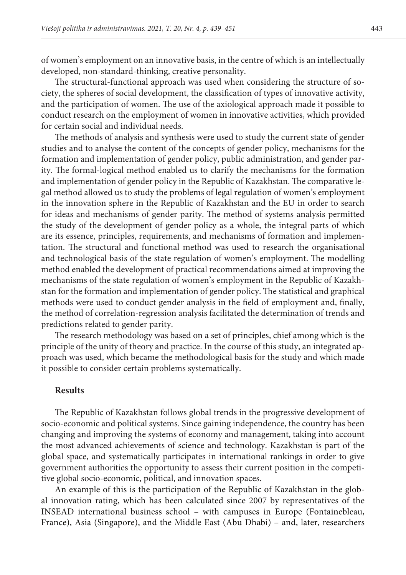of women's employment on an innovative basis, in the centre of which is an intellectually developed, non-standard-thinking, creative personality.

The structural-functional approach was used when considering the structure of society, the spheres of social development, the classification of types of innovative activity, and the participation of women. The use of the axiological approach made it possible to conduct research on the employment of women in innovative activities, which provided for certain social and individual needs.

The methods of analysis and synthesis were used to study the current state of gender studies and to analyse the content of the concepts of gender policy, mechanisms for the formation and implementation of gender policy, public administration, and gender parity. The formal-logical method enabled us to clarify the mechanisms for the formation and implementation of gender policy in the Republic of Kazakhstan. The comparative legal method allowed us to study the problems of legal regulation of women's employment in the innovation sphere in the Republic of Kazakhstan and the EU in order to search for ideas and mechanisms of gender parity. The method of systems analysis permitted the study of the development of gender policy as a whole, the integral parts of which are its essence, principles, requirements, and mechanisms of formation and implementation. The structural and functional method was used to research the organisational and technological basis of the state regulation of women's employment. The modelling method enabled the development of practical recommendations aimed at improving the mechanisms of the state regulation of women's employment in the Republic of Kazakhstan for the formation and implementation of gender policy. The statistical and graphical methods were used to conduct gender analysis in the field of employment and, finally, the method of correlation-regression analysis facilitated the determination of trends and predictions related to gender parity.

The research methodology was based on a set of principles, chief among which is the principle of the unity of theory and practice. In the course of this study, an integrated approach was used, which became the methodological basis for the study and which made it possible to consider certain problems systematically.

## **Results**

The Republic of Kazakhstan follows global trends in the progressive development of socio-economic and political systems. Since gaining independence, the country has been changing and improving the systems of economy and management, taking into account the most advanced achievements of science and technology. Kazakhstan is part of the global space, and systematically participates in international rankings in order to give government authorities the opportunity to assess their current position in the competitive global socio-economic, political, and innovation spaces.

An example of this is the participation of the Republic of Kazakhstan in the global innovation rating, which has been calculated since 2007 by representatives of the INSEAD international business school – with campuses in Europe (Fontainebleau, France), Asia (Singapore), and the Middle East (Abu Dhabi) – and, later, researchers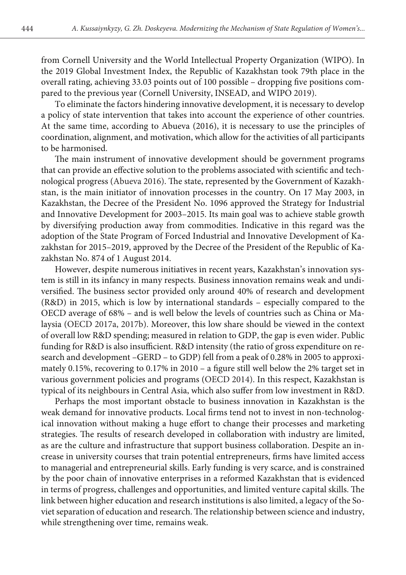from Cornell University and the World Intellectual Property Organization (WIPO). In the 2019 Global Investment Index, the Republic of Kazakhstan took 79th place in the overall rating, achieving 33.03 points out of 100 possible – dropping five positions compared to the previous year (Cornell University, INSEAD, and WIPO 2019).

To eliminate the factors hindering innovative development, it is necessary to develop a policy of state intervention that takes into account the experience of other countries. At the same time, according to Abueva (2016), it is necessary to use the principles of coordination, alignment, and motivation, which allow for the activities of all participants to be harmonised.

The main instrument of innovative development should be government programs that can provide an effective solution to the problems associated with scientific and technological progress (Abueva 2016). The state, represented by the Government of Kazakhstan, is the main initiator of innovation processes in the country. On 17 May 2003, in Kazakhstan, the Decree of the President No. 1096 approved the Strategy for Industrial and Innovative Development for 2003–2015. Its main goal was to achieve stable growth by diversifying production away from commodities. Indicative in this regard was the adoption of the State Program of Forced Industrial and Innovative Development of Kazakhstan for 2015–2019, approved by the Decree of the President of the Republic of Kazakhstan No. 874 of 1 August 2014.

However, despite numerous initiatives in recent years, Kazakhstan's innovation system is still in its infancy in many respects. Business innovation remains weak and undiversified. The business sector provided only around 40% of research and development (R&D) in 2015, which is low by international standards – especially compared to the OECD average of 68% – and is well below the levels of countries such as China or Malaysia (OECD 2017a, 2017b). Moreover, this low share should be viewed in the context of overall low R&D spending; measured in relation to GDP, the gap is even wider. Public funding for R&D is also insufficient. R&D intensity (the ratio of gross expenditure on research and development –GERD – to GDP) fell from a peak of 0.28% in 2005 to approximately 0.15%, recovering to 0.17% in 2010 – a figure still well below the 2% target set in various government policies and programs (OECD 2014). In this respect, Kazakhstan is typical of its neighbours in Central Asia, which also suffer from low investment in R&D.

Perhaps the most important obstacle to business innovation in Kazakhstan is the weak demand for innovative products. Local firms tend not to invest in non-technological innovation without making a huge effort to change their processes and marketing strategies. The results of research developed in collaboration with industry are limited, as are the culture and infrastructure that support business collaboration. Despite an increase in university courses that train potential entrepreneurs, firms have limited access to managerial and entrepreneurial skills. Early funding is very scarce, and is constrained by the poor chain of innovative enterprises in a reformed Kazakhstan that is evidenced in terms of progress, challenges and opportunities, and limited venture capital skills. The link between higher education and research institutions is also limited, a legacy of the Soviet separation of education and research. The relationship between science and industry, while strengthening over time, remains weak.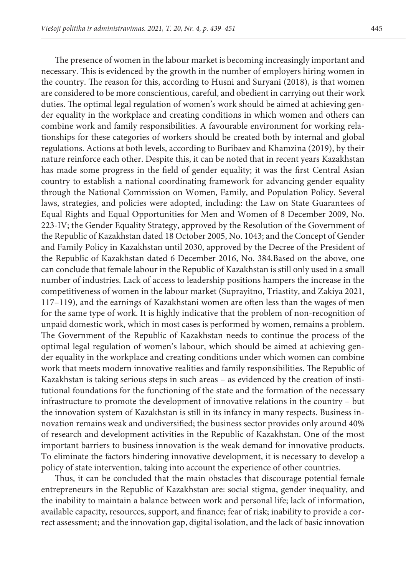The presence of women in the labour market is becoming increasingly important and necessary. This is evidenced by the growth in the number of employers hiring women in the country. The reason for this, according to Husni and Suryani (2018), is that women are considered to be more conscientious, careful, and obedient in carrying out their work duties. The optimal legal regulation of women's work should be aimed at achieving gender equality in the workplace and creating conditions in which women and others can combine work and family responsibilities. A favourable environment for working relationships for these categories of workers should be created both by internal and global regulations. Actions at both levels, according to Buribaev and Khamzina (2019), by their nature reinforce each other. Despite this, it can be noted that in recent years Kazakhstan has made some progress in the field of gender equality; it was the first Central Asian country to establish a national coordinating framework for advancing gender equality through the National Commission on Women, Family, and Population Policy. Several laws, strategies, and policies were adopted, including: the Law on State Guarantees of Equal Rights and Equal Opportunities for Men and Women of 8 December 2009, No. 223-IV; the Gender Equality Strategy, approved by the Resolution of the Government of the Republic of Kazakhstan dated 18 October 2005, No. 1043; and the Concept of Gender and Family Policy in Kazakhstan until 2030, approved by the Decree of the President of the Republic of Kazakhstan dated 6 December 2016, No. 384.Based on the above, one can conclude that female labour in the Republic of Kazakhstan is still only used in a small number of industries. Lack of access to leadership positions hampers the increase in the competitiveness of women in the labour market (Suprayitno, Triastity, and Zakiya 2021, 117–119), and the earnings of Kazakhstani women are often less than the wages of men for the same type of work. It is highly indicative that the problem of non-recognition of unpaid domestic work, which in most cases is performed by women, remains a problem. The Government of the Republic of Kazakhstan needs to continue the process of the optimal legal regulation of women's labour, which should be aimed at achieving gender equality in the workplace and creating conditions under which women can combine work that meets modern innovative realities and family responsibilities. The Republic of Kazakhstan is taking serious steps in such areas – as evidenced by the creation of institutional foundations for the functioning of the state and the formation of the necessary infrastructure to promote the development of innovative relations in the country – but the innovation system of Kazakhstan is still in its infancy in many respects. Business innovation remains weak and undiversified; the business sector provides only around 40% of research and development activities in the Republic of Kazakhstan. One of the most important barriers to business innovation is the weak demand for innovative products. To eliminate the factors hindering innovative development, it is necessary to develop a policy of state intervention, taking into account the experience of other countries.

Thus, it can be concluded that the main obstacles that discourage potential female entrepreneurs in the Republic of Kazakhstan are: social stigma, gender inequality, and the inability to maintain a balance between work and personal life; lack of information, available capacity, resources, support, and finance; fear of risk; inability to provide a correct assessment; and the innovation gap, digital isolation, and the lack of basic innovation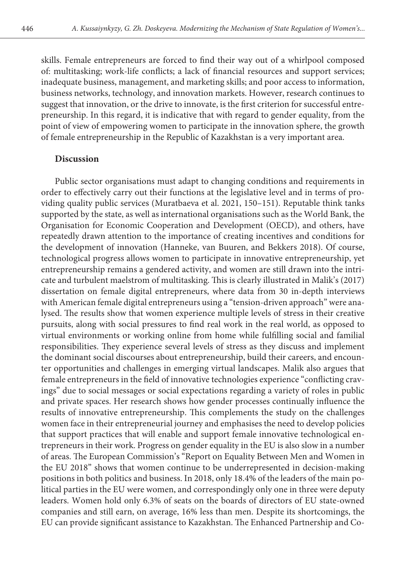skills. Female entrepreneurs are forced to find their way out of a whirlpool composed of: multitasking; work-life conflicts; a lack of financial resources and support services; inadequate business, management, and marketing skills; and poor access to information, business networks, technology, and innovation markets. However, research continues to suggest that innovation, or the drive to innovate, is the first criterion for successful entrepreneurship. In this regard, it is indicative that with regard to gender equality, from the point of view of empowering women to participate in the innovation sphere, the growth of female entrepreneurship in the Republic of Kazakhstan is a very important area.

#### **Discussion**

Public sector organisations must adapt to changing conditions and requirements in order to effectively carry out their functions at the legislative level and in terms of providing quality public services (Muratbaeva et al. 2021, 150–151). Reputable think tanks supported by the state, as well as international organisations such as the World Bank, the Organisation for Economic Cooperation and Development (OECD), and others, have repeatedly drawn attention to the importance of creating incentives and conditions for the development of innovation (Hanneke, van Buuren, and Bekkers 2018). Of course, technological progress allows women to participate in innovative entrepreneurship, yet entrepreneurship remains a gendered activity, and women are still drawn into the intricate and turbulent maelstrom of multitasking. This is clearly illustrated in Malik's (2017) dissertation on female digital entrepreneurs, where data from 30 in-depth interviews with American female digital entrepreneurs using a "tension-driven approach" were analysed. The results show that women experience multiple levels of stress in their creative pursuits, along with social pressures to find real work in the real world, as opposed to virtual environments or working online from home while fulfilling social and familial responsibilities. They experience several levels of stress as they discuss and implement the dominant social discourses about entrepreneurship, build their careers, and encounter opportunities and challenges in emerging virtual landscapes. Malik also argues that female entrepreneurs in the field of innovative technologies experience "conflicting cravings" due to social messages or social expectations regarding a variety of roles in public and private spaces. Her research shows how gender processes continually influence the results of innovative entrepreneurship. This complements the study on the challenges women face in their entrepreneurial journey and emphasises the need to develop policies that support practices that will enable and support female innovative technological entrepreneurs in their work. Progress on gender equality in the EU is also slow in a number of areas. The European Commission's "Report on Equality Between Men and Women in the EU 2018" shows that women continue to be underrepresented in decision-making positions in both politics and business. In 2018, only 18.4% of the leaders of the main political parties in the EU were women, and correspondingly only one in three were deputy leaders. Women hold only 6.3% of seats on the boards of directors of EU state-owned companies and still earn, on average, 16% less than men. Despite its shortcomings, the EU can provide significant assistance to Kazakhstan. The Enhanced Partnership and Co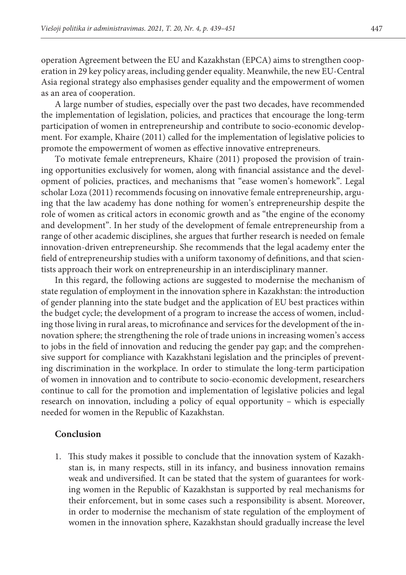operation Agreement between the EU and Kazakhstan (EPCA) aims to strengthen cooperation in 29 key policy areas, including gender equality. Meanwhile, the new EU-Central Asia regional strategy also emphasises gender equality and the empowerment of women as an area of cooperation.

A large number of studies, especially over the past two decades, have recommended the implementation of legislation, policies, and practices that encourage the long-term participation of women in entrepreneurship and contribute to socio-economic development. For example, Khaire (2011) called for the implementation of legislative policies to promote the empowerment of women as effective innovative entrepreneurs.

To motivate female entrepreneurs, Khaire (2011) proposed the provision of training opportunities exclusively for women, along with financial assistance and the development of policies, practices, and mechanisms that "ease women's homework". Legal scholar Loza (2011) recommends focusing on innovative female entrepreneurship, arguing that the law academy has done nothing for women's entrepreneurship despite the role of women as critical actors in economic growth and as "the engine of the economy and development". In her study of the development of female entrepreneurship from a range of other academic disciplines, she argues that further research is needed on female innovation-driven entrepreneurship. She recommends that the legal academy enter the field of entrepreneurship studies with a uniform taxonomy of definitions, and that scientists approach their work on entrepreneurship in an interdisciplinary manner.

In this regard, the following actions are suggested to modernise the mechanism of state regulation of employment in the innovation sphere in Kazakhstan: the introduction of gender planning into the state budget and the application of EU best practices within the budget cycle; the development of a program to increase the access of women, including those living in rural areas, to microfinance and services for the development of the innovation sphere; the strengthening the role of trade unions in increasing women's access to jobs in the field of innovation and reducing the gender pay gap; and the comprehensive support for compliance with Kazakhstani legislation and the principles of preventing discrimination in the workplace. In order to stimulate the long-term participation of women in innovation and to contribute to socio-economic development, researchers continue to call for the promotion and implementation of legislative policies and legal research on innovation, including a policy of equal opportunity – which is especially needed for women in the Republic of Kazakhstan.

#### **Conclusion**

1. This study makes it possible to conclude that the innovation system of Kazakhstan is, in many respects, still in its infancy, and business innovation remains weak and undiversified. It can be stated that the system of guarantees for working women in the Republic of Kazakhstan is supported by real mechanisms for their enforcement, but in some cases such a responsibility is absent. Moreover, in order to modernise the mechanism of state regulation of the employment of women in the innovation sphere, Kazakhstan should gradually increase the level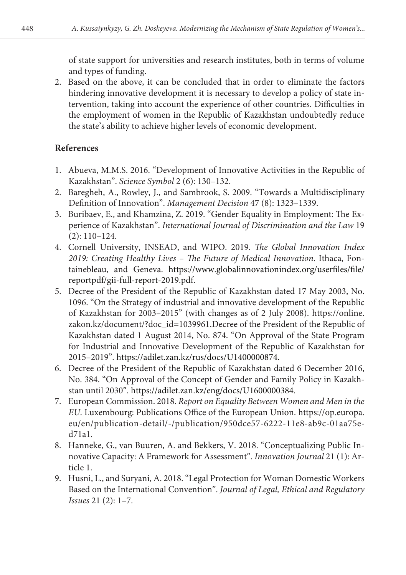of state support for universities and research institutes, both in terms of volume and types of funding.

2. Based on the above, it can be concluded that in order to eliminate the factors hindering innovative development it is necessary to develop a policy of state intervention, taking into account the experience of other countries. Difficulties in the employment of women in the Republic of Kazakhstan undoubtedly reduce the state's ability to achieve higher levels of economic development.

# **References**

- 1. Abueva, M.M.S. 2016. "Development of Innovative Activities in the Republic of Kazakhstan". *Science Symbol* 2 (6): 130–132.
- 2. Baregheh, A., Rowley, J., and Sambrook, S. 2009. "Towards a Multidisciplinary Definition of Innovation". *Management Decision* 47 (8): 1323–1339.
- 3. Buribaev, E., and Khamzina, Z. 2019. "Gender Equality in Employment: The Experience of Kazakhstan". *International Journal of Discrimination and the Law* 19 (2): 110–124.
- 4. Cornell University, INSEAD, and WIPO. 2019. *The Global Innovation Index 2019: Creating Healthy Lives – The Future of Medical Innovation*. Ithaca, Fontainebleau, and Geneva. https://www.globalinnovationindex.org/userfiles/file/ reportpdf/gii-full-report-2019.pdf.
- 5. Decree of the President of the Republic of Kazakhstan dated 17 May 2003, No. 1096. "On the Strategy of industrial and innovative development of the Republic of Kazakhstan for 2003–2015" (with changes as of 2 July 2008). https://online. zakon.kz/document/?doc\_id=1039961.Decree of the President of the Republic of Kazakhstan dated 1 August 2014, No. 874. "On Approval of the State Program for Industrial and Innovative Development of the Republic of Kazakhstan for 2015–2019". https://adilet.zan.kz/rus/docs/U1400000874.
- 6. Decree of the President of the Republic of Kazakhstan dated 6 December 2016, No. 384. "On Approval of the Concept of Gender and Family Policy in Kazakhstan until 2030". https://adilet.zan.kz/eng/docs/U1600000384.
- 7. European Commission. 2018. *Report on Equality Between Women and Men in the EU*. Luxembourg: Publications Office of the European Union. https://op.europa. eu/en/publication-detail/-/publication/950dce57-6222-11e8-ab9c-01aa75ed71a1.
- 8. Hanneke, G., van Buuren, A. and Bekkers, V. 2018. "Conceptualizing Public Innovative Capacity: A Framework for Assessment". *Innovation Journal* 21 (1): Article 1.
- 9. Husni, L., and Suryani, A. 2018. "Legal Protection for Woman Domestic Workers Based on the International Convention". *Journal of Legal, Ethical and Regulatory Issues* 21 (2): 1–7.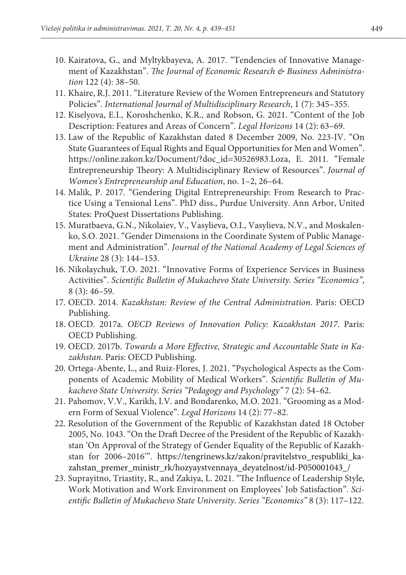- 10. Kairatova, G., and Myltykbayeva, A. 2017. "Tendencies of Innovative Management of Kazakhstan". *The Journal of Economic Research & Business Administration* 122 (4): 38–50.
- 11. Khaire, R.J. 2011. "Literature Review of the Women Entrepreneurs and Statutory Policies". *International Journal of Multidisciplinary Research*, 1 (7): 345–355.
- 12. Kiselyova, E.I., Koroshchenko, K.R., and Robson, G. 2021. "Content of the Job Description: Features and Areas of Concern". *Legal Horizons* 14 (2): 63–69.
- 13. Law of the Republic of Kazakhstan dated 8 December 2009, No. 223-IV. "On State Guarantees of Equal Rights and Equal Opportunities for Men and Women". https://online.zakon.kz/Document/?doc\_id=30526983.Loza, E. 2011. "Female Entrepreneurship Theory: A Multidisciplinary Review of Resources". *Journal of Women's Entrepreneurship and Education*, no. 1–2, 26–64.
- 14. Malik, P. 2017. "Gendering Digital Entrepreneurship: From Research to Practice Using a Tensional Lens". PhD diss., Purdue University. Ann Arbor, United States: ProQuest Dissertations Publishing.
- 15. Muratbaeva, G.N., Nikolaiev, V., Vasylieva, O.I., Vasylieva, N.V., and Moskalenko, S.O. 2021. "Gender Dimensions in the Coordinate System of Public Management and Administration". *Journal of the National Academy of Legal Sciences of Ukraine* 28 (3): 144–153.
- 16. Nikolaychuk, T.O. 2021. "Innovative Forms of Experience Services in Business Activities". *Scientific Bulletin of Mukachevo State University. Series "Economics"*,  $8(3): 46-59.$
- 17. OECD. 2014. *Kazakhstan: Review of the Central Administration*. Paris: OECD Publishing.
- 18. OECD. 2017a. *OECD Reviews of Innovation Policy: Kazakhstan 2017*. Paris: OECD Publishing.
- 19. OECD. 2017b. *Towards a More Effective, Strategic and Accountable State in Kazakhstan*. Paris: OECD Publishing.
- 20. Ortega-Abente, L., and Ruiz-Flores, J. 2021. "Psychological Aspects as the Components of Academic Mobility of Medical Workers". *Scientific Bulletin of Mukachevo State University. Series "Pedagogy and Psychology"* 7 (2): 54–62.
- 21. Pahomov, V.V., Karikh, I.V. and Bondarenko, M.O. 2021. "Grooming as a Modern Form of Sexual Violence". *Legal Horizons* 14 (2): 77–82.
- 22. Resolution of the Government of the Republic of Kazakhstan dated 18 October 2005, No. 1043. "On the Draft Decree of the President of the Republic of Kazakhstan 'On Approval of the Strategy of Gender Equality of the Republic of Kazakhstan for 2006–2016". https://tengrinews.kz/zakon/pravitelstvo\_respubliki\_kazahstan\_premer\_ministr\_rk/hozyaystvennaya\_deyatelnost/id-P050001043\_/
- 23. Suprayitno, Triastity, R., and Zakiya, L. 2021. "The Influence of Leadership Style, Work Motivation and Work Environment on Employees' Job Satisfaction". *Scientific Bulletin of Mukachevo State University. Series "Economics"* 8 (3): 117–122.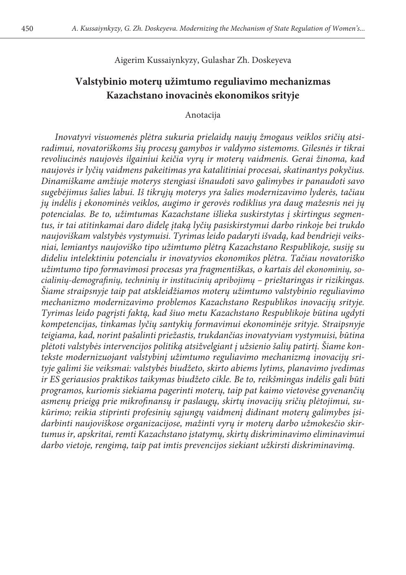Aigerim Kussaiynkyzy, Gulashar Zh. Doskeyeva

# **Valstybinio moterų užimtumo reguliavimo mechanizmas Kazachstano inovacinės ekonomikos srityje**

### Anotacija

*Inovatyvi visuomenės plėtra sukuria prielaidų naujų žmogaus veiklos sričių atsiradimui, novatoriškoms šių procesų gamybos ir valdymo sistemoms. Gilesnės ir tikrai revoliucinės naujovės ilgainiui keičia vyrų ir moterų vaidmenis. Gerai žinoma, kad naujovės ir lyčių vaidmens pakeitimas yra katalitiniai procesai, skatinantys pokyčius. Dinamiškame amžiuje moterys stengiasi išnaudoti savo galimybes ir panaudoti savo sugebėjimus šalies labui. Iš tikrųjų moterys yra šalies modernizavimo lyderės, tačiau jų indėlis į ekonominės veiklos, augimo ir gerovės rodiklius yra daug mažesnis nei jų potencialas. Be to, užimtumas Kazachstane išlieka suskirstytas į skirtingus segmentus, ir tai atitinkamai daro didelę įtaką lyčių pasiskirstymui darbo rinkoje bei trukdo naujoviškam valstybės vystymuisi. Tyrimas leido padaryti išvadą, kad bendrieji veiksniai, lemiantys naujoviško tipo užimtumo plėtrą Kazachstano Respublikoje, susiję su dideliu intelektiniu potencialu ir inovatyvios ekonomikos plėtra. Tačiau novatoriško užimtumo tipo formavimosi procesas yra fragmentiškas, o kartais dėl ekonominių, socialinių-demografinių, techninių ir institucinių apribojimų – prieštaringas ir rizikingas. Šiame straipsnyje taip pat atskleidžiamos moterų užimtumo valstybinio reguliavimo mechanizmo modernizavimo problemos Kazachstano Respublikos inovacijų srityje. Tyrimas leido pagrįsti faktą, kad šiuo metu Kazachstano Respublikoje būtina ugdyti kompetencijas, tinkamas lyčių santykių formavimui ekonominėje srityje. Straipsnyje teigiama, kad, norint pašalinti priežastis, trukdančias inovatyviam vystymuisi, būtina plėtoti valstybės intervencijos politiką atsižvelgiant į užsienio šalių patirtį. Šiame kontekste modernizuojant valstybinį užimtumo reguliavimo mechanizmą inovacijų srityje galimi šie veiksmai: valstybės biudžeto, skirto abiems lytims, planavimo įvedimas ir ES geriausios praktikos taikymas biudžeto cikle. Be to, reikšmingas indėlis gali būti programos, kuriomis siekiama pagerinti moterų, taip pat kaimo vietovėse gyvenančių asmenų prieigą prie mikrofinansų ir paslaugų, skirtų inovacijų sričių plėtojimui, sukūrimo; reikia stiprinti profesinių sąjungų vaidmenį didinant moterų galimybes įsidarbinti naujoviškose organizacijose, mažinti vyrų ir moterų darbo užmokesčio skirtumus ir, apskritai, remti Kazachstano įstatymų, skirtų diskriminavimo eliminavimui darbo vietoje, rengimą, taip pat imtis prevencijos siekiant užkirsti diskriminavimą.*